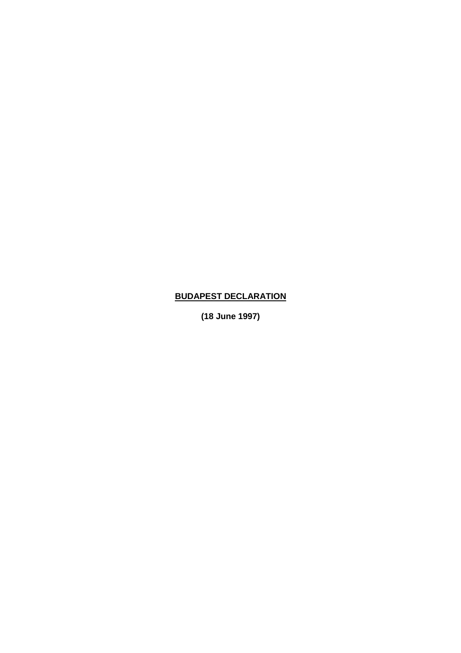## **BUDAPEST DECLARATION**

**(18 June 1997)**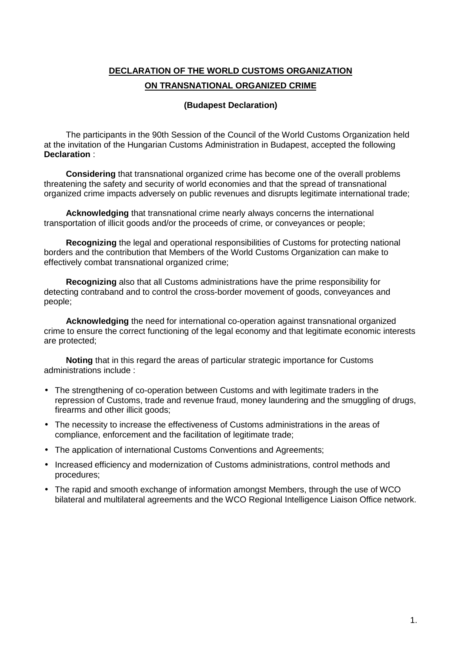## **DECLARATION OF THE WORLD CUSTOMS ORGANIZATION ON TRANSNATIONAL ORGANIZED CRIME**

## **(Budapest Declaration)**

The participants in the 90th Session of the Council of the World Customs Organization held at the invitation of the Hungarian Customs Administration in Budapest, accepted the following **Declaration** :

**Considering** that transnational organized crime has become one of the overall problems threatening the safety and security of world economies and that the spread of transnational organized crime impacts adversely on public revenues and disrupts legitimate international trade;

**Acknowledging** that transnational crime nearly always concerns the international transportation of illicit goods and/or the proceeds of crime, or conveyances or people;

**Recognizing** the legal and operational responsibilities of Customs for protecting national borders and the contribution that Members of the World Customs Organization can make to effectively combat transnational organized crime;

**Recognizing** also that all Customs administrations have the prime responsibility for detecting contraband and to control the cross-border movement of goods, conveyances and people;

**Acknowledging** the need for international co-operation against transnational organized crime to ensure the correct functioning of the legal economy and that legitimate economic interests are protected;

**Noting** that in this regard the areas of particular strategic importance for Customs administrations include :

- The strengthening of co-operation between Customs and with legitimate traders in the repression of Customs, trade and revenue fraud, money laundering and the smuggling of drugs, firearms and other illicit goods;
- The necessity to increase the effectiveness of Customs administrations in the areas of compliance, enforcement and the facilitation of legitimate trade;
- The application of international Customs Conventions and Agreements;
- Increased efficiency and modernization of Customs administrations, control methods and procedures;
- The rapid and smooth exchange of information amongst Members, through the use of WCO bilateral and multilateral agreements and the WCO Regional Intelligence Liaison Office network.